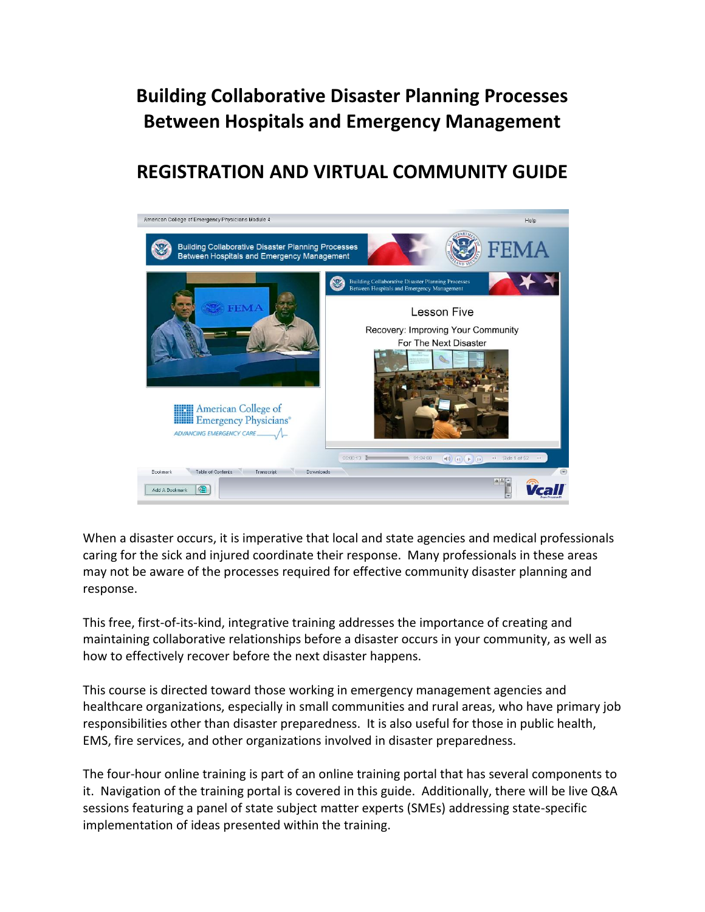## **Building Collaborative Disaster Planning Processes Between Hospitals and Emergency Management**

## **REGISTRATION AND VIRTUAL COMMUNITY GUIDE**



When a disaster occurs, it is imperative that local and state agencies and medical professionals caring for the sick and injured coordinate their response. Many professionals in these areas may not be aware of the processes required for effective community disaster planning and response.

This free, first-of-its-kind, integrative training addresses the importance of creating and maintaining collaborative relationships before a disaster occurs in your community, as well as how to effectively recover before the next disaster happens.

This course is directed toward those working in emergency management agencies and healthcare organizations, especially in small communities and rural areas, who have primary job responsibilities other than disaster preparedness. It is also useful for those in public health, EMS, fire services, and other organizations involved in disaster preparedness.

The four-hour online training is part of an online training portal that has several components to it. Navigation of the training portal is covered in this guide. Additionally, there will be live Q&A sessions featuring a panel of state subject matter experts (SMEs) addressing state-specific implementation of ideas presented within the training.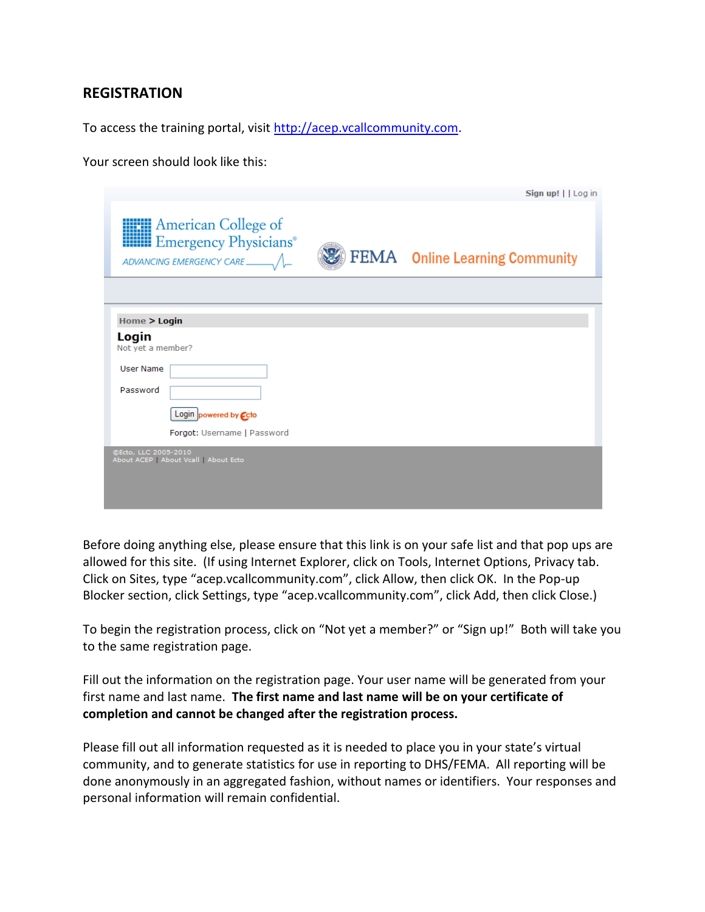## **REGISTRATION**

To access the training portal, visit [http://acep.vcallcommunity.com.](http://acep.vcallcommunity.com/)

Your screen should look like this:

|                            |                                                                    | Sign up!     Log in            |
|----------------------------|--------------------------------------------------------------------|--------------------------------|
|                            | <b>HIM</b> American College of<br><b>HIM Emergency Physicians®</b> | FEMA Online Learning Community |
|                            |                                                                    |                                |
| Home > Login               |                                                                    |                                |
| Login<br>Not yet a member? |                                                                    |                                |
| <b>User Name</b>           |                                                                    |                                |
| Password                   |                                                                    |                                |
|                            | Login powered by Ccto                                              |                                |
|                            | Forgot: Username   Password                                        |                                |
| ©Ecto, LLC 2005-2010       | About ACEP   About Vcall   About Ecto                              |                                |
|                            |                                                                    |                                |
|                            |                                                                    |                                |
|                            |                                                                    |                                |

Before doing anything else, please ensure that this link is on your safe list and that pop ups are allowed for this site. (If using Internet Explorer, click on Tools, Internet Options, Privacy tab. Click on Sites, type "acep.vcallcommunity.com", click Allow, then click OK. In the Pop-up Blocker section, click Settings, type "acep.vcallcommunity.com", click Add, then click Close.)

To begin the registration process, click on "Not yet a member?" or "Sign up!" Both will take you to the same registration page.

Fill out the information on the registration page. Your user name will be generated from your first name and last name. **The first name and last name will be on your certificate of completion and cannot be changed after the registration process.**

Please fill out all information requested as it is needed to place you in your state's virtual community, and to generate statistics for use in reporting to DHS/FEMA. All reporting will be done anonymously in an aggregated fashion, without names or identifiers. Your responses and personal information will remain confidential.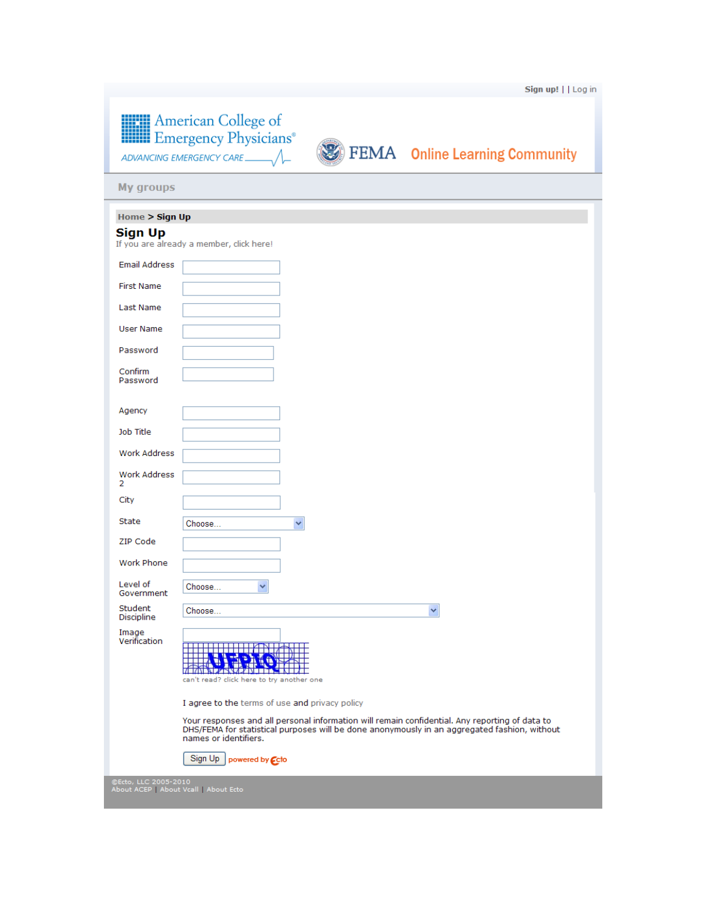| <b>American College of</b><br><b>HIMI</b> Emergency Physicians <sup>®</sup> |  |
|-----------------------------------------------------------------------------|--|
|                                                                             |  |



**EXTEMA** Online Learning Community

**My groups** 

| Home > Sign Up                                                |                                                                                                                                                                                                                         |  |
|---------------------------------------------------------------|-------------------------------------------------------------------------------------------------------------------------------------------------------------------------------------------------------------------------|--|
| <b>Sign Up</b>                                                | If you are already a member, click here!                                                                                                                                                                                |  |
| <b>Email Address</b>                                          |                                                                                                                                                                                                                         |  |
| <b>First Name</b>                                             |                                                                                                                                                                                                                         |  |
| Last Name                                                     |                                                                                                                                                                                                                         |  |
| <b>User Name</b>                                              |                                                                                                                                                                                                                         |  |
| Password                                                      |                                                                                                                                                                                                                         |  |
| Confirm<br>Password                                           |                                                                                                                                                                                                                         |  |
| Agency                                                        |                                                                                                                                                                                                                         |  |
| Job Title                                                     |                                                                                                                                                                                                                         |  |
| <b>Work Address</b>                                           |                                                                                                                                                                                                                         |  |
| Work Address<br>2                                             |                                                                                                                                                                                                                         |  |
| City                                                          |                                                                                                                                                                                                                         |  |
| <b>State</b>                                                  | Choose<br>v                                                                                                                                                                                                             |  |
| ZIP Code                                                      |                                                                                                                                                                                                                         |  |
| Work Phone                                                    |                                                                                                                                                                                                                         |  |
| Level of<br>Government                                        | Choose<br>v                                                                                                                                                                                                             |  |
| Student<br>Discipline                                         | Choose<br>$\checkmark$                                                                                                                                                                                                  |  |
| Image<br>Verification                                         | <u> 1949, 1949, 1948, 1958, 1968</u><br>TAU DI CH<br>can't read? click here to try another one                                                                                                                          |  |
|                                                               | I agree to the terms of use and privacy policy                                                                                                                                                                          |  |
|                                                               | Your responses and all personal information will remain confidential. Any reporting of data to<br>DHS/FEMA for statistical purposes will be done anonymously in an aggregated fashion, without<br>names or identifiers. |  |
|                                                               | Sign Up  <br>powered by <b>Ccto</b>                                                                                                                                                                                     |  |
| ©Ecto, LLC 2005-2010<br>About ACEP   About Vcall   About Ecto |                                                                                                                                                                                                                         |  |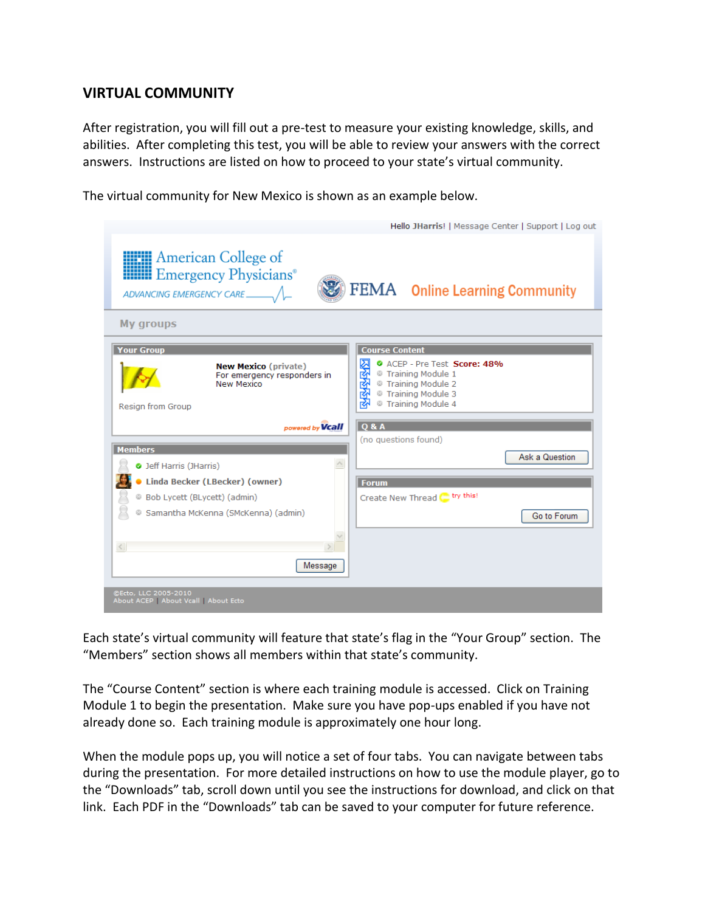## **VIRTUAL COMMUNITY**

After registration, you will fill out a pre-test to measure your existing knowledge, skills, and abilities. After completing this test, you will be able to review your answers with the correct answers. Instructions are listed on how to proceed to your state's virtual community.

The virtual community for New Mexico is shown as an example below.



Each state's virtual community will feature that state's flag in the "Your Group" section. The "Members" section shows all members within that state's community.

The "Course Content" section is where each training module is accessed. Click on Training Module 1 to begin the presentation. Make sure you have pop-ups enabled if you have not already done so. Each training module is approximately one hour long.

When the module pops up, you will notice a set of four tabs. You can navigate between tabs during the presentation. For more detailed instructions on how to use the module player, go to the "Downloads" tab, scroll down until you see the instructions for download, and click on that link. Each PDF in the "Downloads" tab can be saved to your computer for future reference.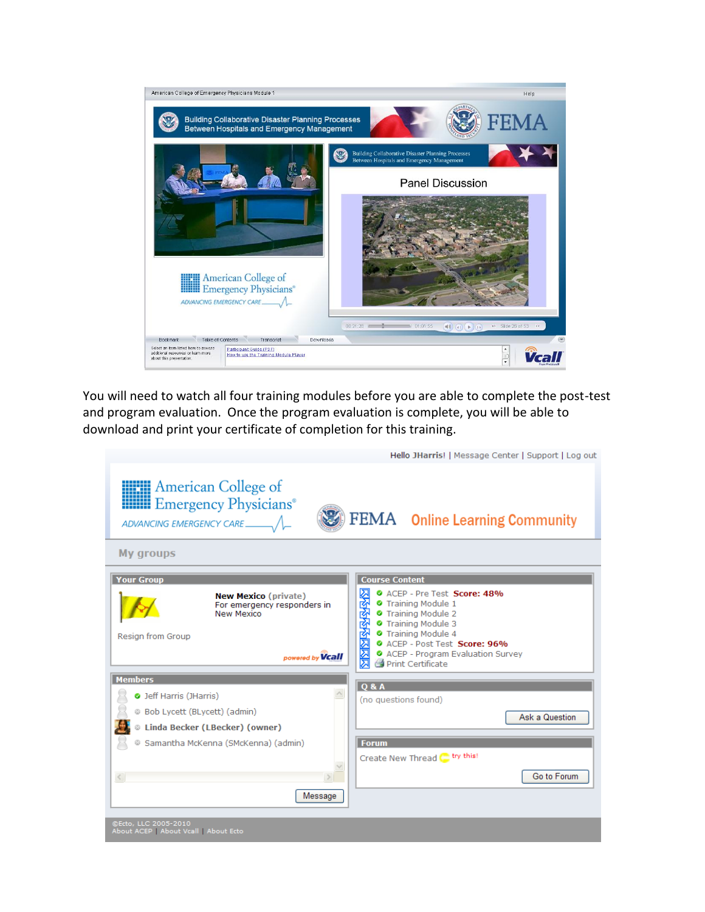

You will need to watch all four training modules before you are able to complete the post-test and program evaluation. Once the program evaluation is complete, you will be able to download and print your certificate of completion for this training.

and the company

**Allen Adams** 

 $\mathbf{r}$ 

|                                                                                                                                 | Hello JHarris!   Message Center   Support   Log out                                                                                                                                                                            |
|---------------------------------------------------------------------------------------------------------------------------------|--------------------------------------------------------------------------------------------------------------------------------------------------------------------------------------------------------------------------------|
| <b>HELL</b> American College of<br><b>Example 18</b> Emergency Physicians <sup>®</sup>                                          | FEMA Online Learning Community                                                                                                                                                                                                 |
| <b>My groups</b>                                                                                                                |                                                                                                                                                                                                                                |
| <b>Your Group</b>                                                                                                               | <b>Course Content</b>                                                                                                                                                                                                          |
| <b>New Mexico (private)</b><br>For emergency responders in<br><b>New Mexico</b><br><b>Resign from Group</b><br>powered by Vcall | 网络哈哈哈区区<br>C ACEP - Pre Test Score: 48%<br>Training Module 1<br>Training Module 2<br><b>O</b> Training Module 3<br>Training Module 4<br>C ACEP - Post Test Score: 96%<br>ACEP - Program Evaluation Survey<br>Print Certificate |
| <b>Members</b>                                                                                                                  | <b>O &amp; A</b>                                                                                                                                                                                                               |
| O Jeff Harris (JHarris)                                                                                                         | (no questions found)                                                                                                                                                                                                           |
| Bob Lycett (BLycett) (admin)                                                                                                    | Ask a Question                                                                                                                                                                                                                 |
| Linda Becker (LBecker) (owner)                                                                                                  |                                                                                                                                                                                                                                |
| Samantha McKenna (SMcKenna) (admin)                                                                                             | <b>Forum</b>                                                                                                                                                                                                                   |
|                                                                                                                                 | Create New Thread <a>[</a> try this!                                                                                                                                                                                           |
| $\leq$                                                                                                                          | Go to Forum                                                                                                                                                                                                                    |
| Message                                                                                                                         |                                                                                                                                                                                                                                |
| @Ecto, LLC 2005-2010<br>About ACEP   About Vcall   About Ecto                                                                   |                                                                                                                                                                                                                                |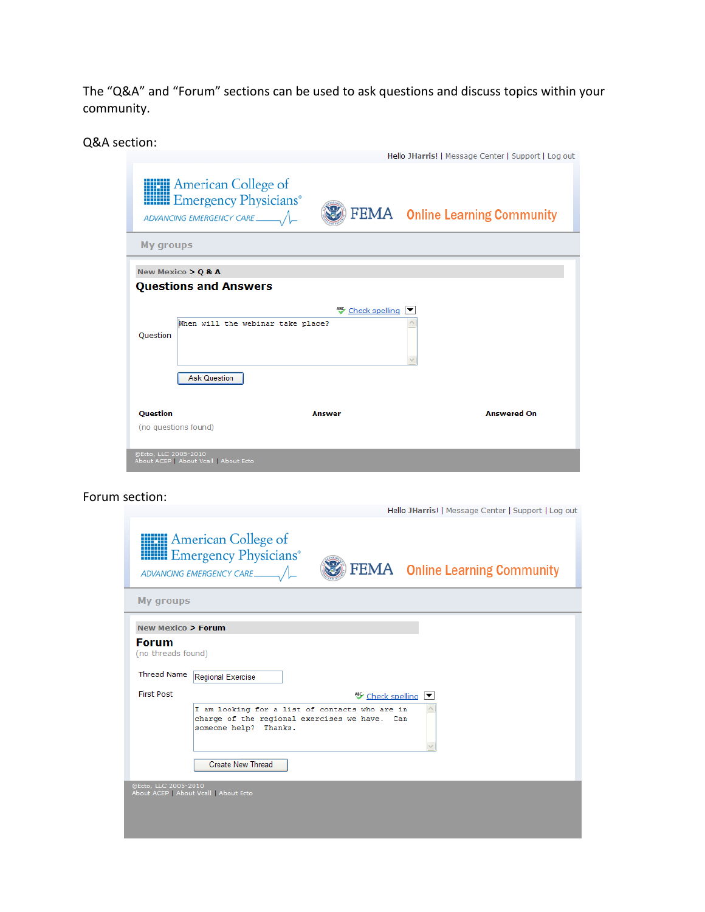The "Q&A" and "Forum" sections can be used to ask questions and discuss topics within your community.

Q&A section:

|                                              |                                                                                  |                                | Hello JHarris!   Message Center   Support   Log out |
|----------------------------------------------|----------------------------------------------------------------------------------|--------------------------------|-----------------------------------------------------|
|                                              | <b>HIM</b> American College of<br><b>Hilli</b> Emergency Physicians <sup>®</sup> |                                | FEMA Online Learning Community                      |
| My groups                                    |                                                                                  |                                |                                                     |
| New Mexico $>$ Q & A                         | <b>Questions and Answers</b><br>When will the webinar take place?                | <sup>45</sup> Check spelling ▼ |                                                     |
| Question                                     | <b>Ask Question</b>                                                              |                                |                                                     |
| <b>Ouestion</b>                              |                                                                                  | Answer                         | <b>Answered On</b>                                  |
| (no questions found)<br>@Ecto, LLC 2005-2010 | About ACEP   About Vcall   About Ecto                                            |                                |                                                     |

Forum section:

| Hello JHarris!   Message Center   Support   Log out |  |
|-----------------------------------------------------|--|

|                                    | <b>HELL</b> American College of<br><b>HIM Emergency Physicians®</b><br>FEMA Online Learning Community                    |
|------------------------------------|--------------------------------------------------------------------------------------------------------------------------|
| My groups                          |                                                                                                                          |
| <b>New Mexico &gt; Forum</b>       |                                                                                                                          |
| <b>Forum</b><br>(no threads found) |                                                                                                                          |
| <b>Thread Name</b>                 | <b>Regional Exercise</b>                                                                                                 |
| <b>First Post</b>                  | Leck spelling  ▼                                                                                                         |
|                                    | I am looking for a list of contacts who are in<br>charge of the regional exercises we have. Can<br>someone help? Thanks. |
|                                    | <b>Create New Thread</b>                                                                                                 |
| @Ecto, LLC 2005-2010               | About ACEP   About Vcall   About Ecto                                                                                    |